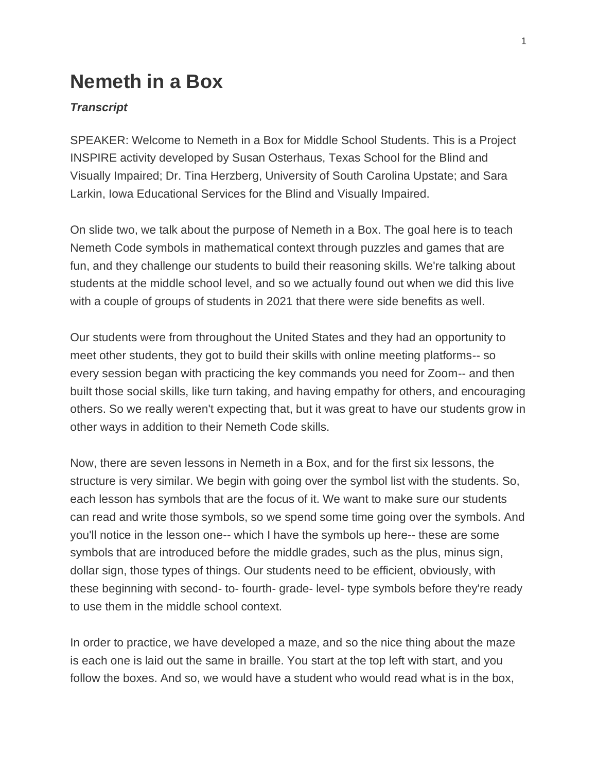## **Nemeth in a Box**

## *Transcript*

SPEAKER: Welcome to Nemeth in a Box for Middle School Students. This is a Project INSPIRE activity developed by Susan Osterhaus, Texas School for the Blind and Visually Impaired; Dr. Tina Herzberg, University of South Carolina Upstate; and Sara Larkin, Iowa Educational Services for the Blind and Visually Impaired.

On slide two, we talk about the purpose of Nemeth in a Box. The goal here is to teach Nemeth Code symbols in mathematical context through puzzles and games that are fun, and they challenge our students to build their reasoning skills. We're talking about students at the middle school level, and so we actually found out when we did this live with a couple of groups of students in 2021 that there were side benefits as well.

Our students were from throughout the United States and they had an opportunity to meet other students, they got to build their skills with online meeting platforms-- so every session began with practicing the key commands you need for Zoom-- and then built those social skills, like turn taking, and having empathy for others, and encouraging others. So we really weren't expecting that, but it was great to have our students grow in other ways in addition to their Nemeth Code skills.

Now, there are seven lessons in Nemeth in a Box, and for the first six lessons, the structure is very similar. We begin with going over the symbol list with the students. So, each lesson has symbols that are the focus of it. We want to make sure our students can read and write those symbols, so we spend some time going over the symbols. And you'll notice in the lesson one-- which I have the symbols up here-- these are some symbols that are introduced before the middle grades, such as the plus, minus sign, dollar sign, those types of things. Our students need to be efficient, obviously, with these beginning with second- to- fourth- grade- level- type symbols before they're ready to use them in the middle school context.

In order to practice, we have developed a maze, and so the nice thing about the maze is each one is laid out the same in braille. You start at the top left with start, and you follow the boxes. And so, we would have a student who would read what is in the box,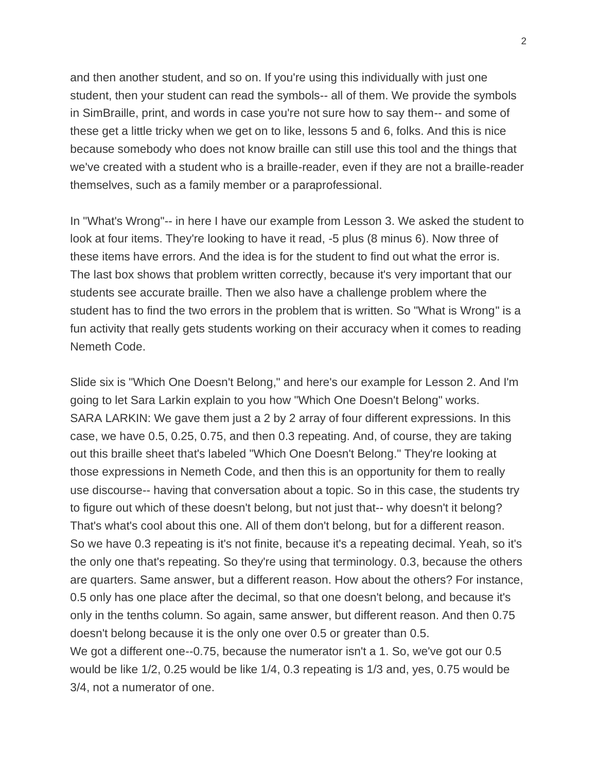and then another student, and so on. If you're using this individually with just one student, then your student can read the symbols-- all of them. We provide the symbols in SimBraille, print, and words in case you're not sure how to say them-- and some of these get a little tricky when we get on to like, lessons 5 and 6, folks. And this is nice because somebody who does not know braille can still use this tool and the things that we've created with a student who is a braille-reader, even if they are not a braille-reader themselves, such as a family member or a paraprofessional.

In "What's Wrong"-- in here I have our example from Lesson 3. We asked the student to look at four items. They're looking to have it read, -5 plus (8 minus 6). Now three of these items have errors. And the idea is for the student to find out what the error is. The last box shows that problem written correctly, because it's very important that our students see accurate braille. Then we also have a challenge problem where the student has to find the two errors in the problem that is written. So "What is Wrong" is a fun activity that really gets students working on their accuracy when it comes to reading Nemeth Code.

Slide six is "Which One Doesn't Belong," and here's our example for Lesson 2. And I'm going to let Sara Larkin explain to you how "Which One Doesn't Belong" works. SARA LARKIN: We gave them just a 2 by 2 array of four different expressions. In this case, we have 0.5, 0.25, 0.75, and then 0.3 repeating. And, of course, they are taking out this braille sheet that's labeled "Which One Doesn't Belong." They're looking at those expressions in Nemeth Code, and then this is an opportunity for them to really use discourse-- having that conversation about a topic. So in this case, the students try to figure out which of these doesn't belong, but not just that-- why doesn't it belong? That's what's cool about this one. All of them don't belong, but for a different reason. So we have 0.3 repeating is it's not finite, because it's a repeating decimal. Yeah, so it's the only one that's repeating. So they're using that terminology. 0.3, because the others are quarters. Same answer, but a different reason. How about the others? For instance, 0.5 only has one place after the decimal, so that one doesn't belong, and because it's only in the tenths column. So again, same answer, but different reason. And then 0.75 doesn't belong because it is the only one over 0.5 or greater than 0.5. We got a different one--0.75, because the numerator isn't a 1. So, we've got our 0.5 would be like 1/2, 0.25 would be like 1/4, 0.3 repeating is 1/3 and, yes, 0.75 would be 3/4, not a numerator of one.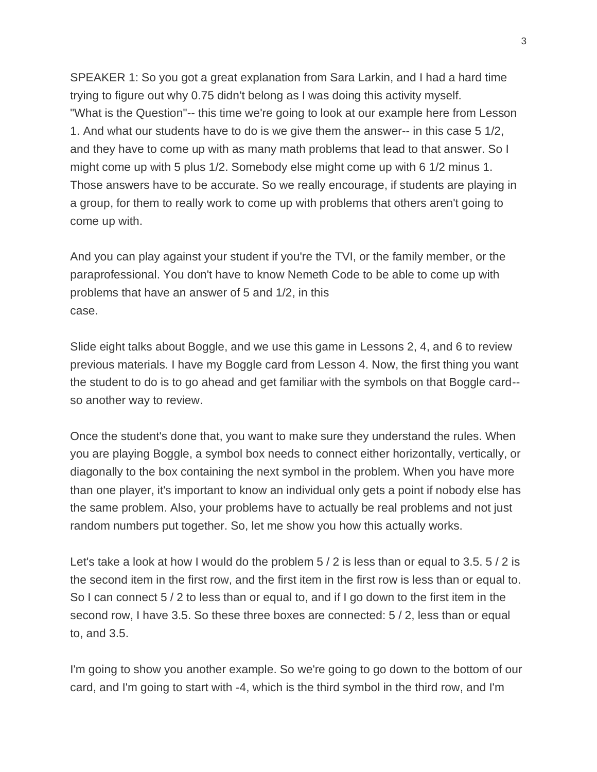SPEAKER 1: So you got a great explanation from Sara Larkin, and I had a hard time trying to figure out why 0.75 didn't belong as I was doing this activity myself. "What is the Question"-- this time we're going to look at our example here from Lesson 1. And what our students have to do is we give them the answer-- in this case 5 1/2, and they have to come up with as many math problems that lead to that answer. So I might come up with 5 plus 1/2. Somebody else might come up with 6 1/2 minus 1. Those answers have to be accurate. So we really encourage, if students are playing in a group, for them to really work to come up with problems that others aren't going to come up with.

And you can play against your student if you're the TVI, or the family member, or the paraprofessional. You don't have to know Nemeth Code to be able to come up with problems that have an answer of 5 and 1/2, in this case.

Slide eight talks about Boggle, and we use this game in Lessons 2, 4, and 6 to review previous materials. I have my Boggle card from Lesson 4. Now, the first thing you want the student to do is to go ahead and get familiar with the symbols on that Boggle card- so another way to review.

Once the student's done that, you want to make sure they understand the rules. When you are playing Boggle, a symbol box needs to connect either horizontally, vertically, or diagonally to the box containing the next symbol in the problem. When you have more than one player, it's important to know an individual only gets a point if nobody else has the same problem. Also, your problems have to actually be real problems and not just random numbers put together. So, let me show you how this actually works.

Let's take a look at how I would do the problem 5 / 2 is less than or equal to 3.5. 5 / 2 is the second item in the first row, and the first item in the first row is less than or equal to. So I can connect 5 / 2 to less than or equal to, and if I go down to the first item in the second row, I have 3.5. So these three boxes are connected: 5 / 2, less than or equal to, and 3.5.

I'm going to show you another example. So we're going to go down to the bottom of our card, and I'm going to start with -4, which is the third symbol in the third row, and I'm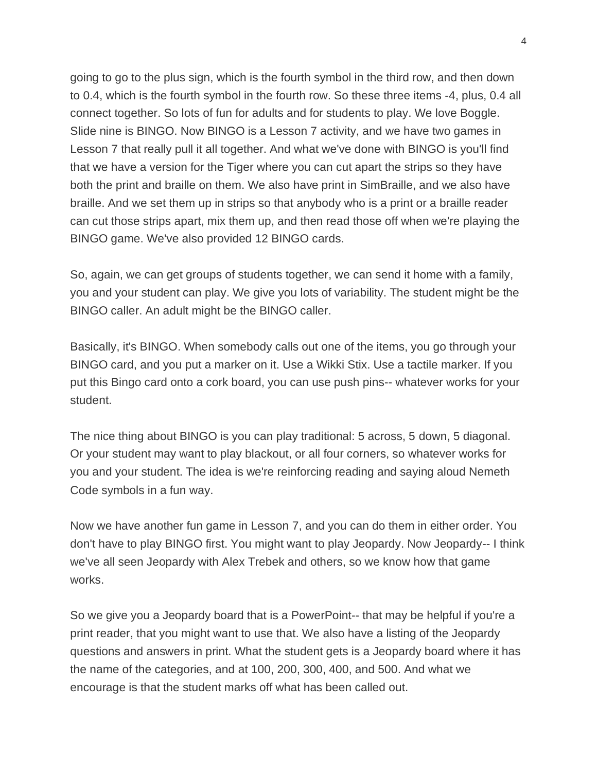going to go to the plus sign, which is the fourth symbol in the third row, and then down to 0.4, which is the fourth symbol in the fourth row. So these three items -4, plus, 0.4 all connect together. So lots of fun for adults and for students to play. We love Boggle. Slide nine is BINGO. Now BINGO is a Lesson 7 activity, and we have two games in Lesson 7 that really pull it all together. And what we've done with BINGO is you'll find that we have a version for the Tiger where you can cut apart the strips so they have both the print and braille on them. We also have print in SimBraille, and we also have braille. And we set them up in strips so that anybody who is a print or a braille reader can cut those strips apart, mix them up, and then read those off when we're playing the BINGO game. We've also provided 12 BINGO cards.

So, again, we can get groups of students together, we can send it home with a family, you and your student can play. We give you lots of variability. The student might be the BINGO caller. An adult might be the BINGO caller.

Basically, it's BINGO. When somebody calls out one of the items, you go through your BINGO card, and you put a marker on it. Use a Wikki Stix. Use a tactile marker. If you put this Bingo card onto a cork board, you can use push pins-- whatever works for your student.

The nice thing about BINGO is you can play traditional: 5 across, 5 down, 5 diagonal. Or your student may want to play blackout, or all four corners, so whatever works for you and your student. The idea is we're reinforcing reading and saying aloud Nemeth Code symbols in a fun way.

Now we have another fun game in Lesson 7, and you can do them in either order. You don't have to play BINGO first. You might want to play Jeopardy. Now Jeopardy-- I think we've all seen Jeopardy with Alex Trebek and others, so we know how that game works.

So we give you a Jeopardy board that is a PowerPoint-- that may be helpful if you're a print reader, that you might want to use that. We also have a listing of the Jeopardy questions and answers in print. What the student gets is a Jeopardy board where it has the name of the categories, and at 100, 200, 300, 400, and 500. And what we encourage is that the student marks off what has been called out.